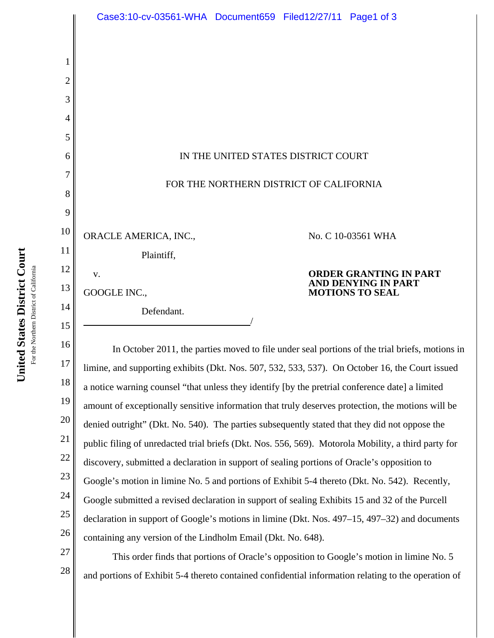|                | Case3:10-cv-03561-WHA Document659 Filed12/27/11 Page1 of 3                                                                                                                                                                                                                                                                           |                                               |
|----------------|--------------------------------------------------------------------------------------------------------------------------------------------------------------------------------------------------------------------------------------------------------------------------------------------------------------------------------------|-----------------------------------------------|
|                |                                                                                                                                                                                                                                                                                                                                      |                                               |
| 1              |                                                                                                                                                                                                                                                                                                                                      |                                               |
| $\overline{2}$ |                                                                                                                                                                                                                                                                                                                                      |                                               |
| 3              |                                                                                                                                                                                                                                                                                                                                      |                                               |
| 4              |                                                                                                                                                                                                                                                                                                                                      |                                               |
| 5              |                                                                                                                                                                                                                                                                                                                                      |                                               |
| 6              | IN THE UNITED STATES DISTRICT COURT                                                                                                                                                                                                                                                                                                  |                                               |
| 7              | FOR THE NORTHERN DISTRICT OF CALIFORNIA                                                                                                                                                                                                                                                                                              |                                               |
| 8              |                                                                                                                                                                                                                                                                                                                                      |                                               |
| 9              |                                                                                                                                                                                                                                                                                                                                      |                                               |
| 10             | ORACLE AMERICA, INC.,                                                                                                                                                                                                                                                                                                                | No. C 10-03561 WHA                            |
| 11             | Plaintiff,                                                                                                                                                                                                                                                                                                                           |                                               |
| 12             | V.                                                                                                                                                                                                                                                                                                                                   | ORDER GRANTING IN PART<br>AND DENYING IN PART |
| 13             | GOOGLE INC.,                                                                                                                                                                                                                                                                                                                         | <b>MOTIONS TO SEAL</b>                        |
| 14             | Defendant.                                                                                                                                                                                                                                                                                                                           |                                               |
| 15             |                                                                                                                                                                                                                                                                                                                                      |                                               |
| 16<br>17       | In October 2011, the parties moved to file under seal portions of the trial briefs, motions in                                                                                                                                                                                                                                       |                                               |
| 18             | limine, and supporting exhibits (Dkt. Nos. 507, 532, 533, 537). On October 16, the Court issued<br>$\mathbf{r}$ , and the state of the state of the state of the state of the state of the state of the state of the state of the state of the state of the state of the state of the state of the state of the state of the state o |                                               |

18 19 20 21 22 23 24 25 26 limine, and supporting exhibits (Dkt. Nos. 507, 532, 533, 537). On October 16, the Court issued a notice warning counsel "that unless they identify [by the pretrial conference date] a limited amount of exceptionally sensitive information that truly deserves protection, the motions will be denied outright" (Dkt. No. 540). The parties subsequently stated that they did not oppose the public filing of unredacted trial briefs (Dkt. Nos. 556, 569). Motorola Mobility, a third party for discovery, submitted a declaration in support of sealing portions of Oracle's opposition to Google's motion in limine No. 5 and portions of Exhibit 5-4 thereto (Dkt. No. 542). Recently, Google submitted a revised declaration in support of sealing Exhibits 15 and 32 of the Purcell declaration in support of Google's motions in limine (Dkt. Nos. 497–15, 497–32) and documents containing any version of the Lindholm Email (Dkt. No. 648).

This order finds that portions of Oracle's opposition to Google's motion in limine No. 5 and portions of Exhibit 5-4 thereto contained confidential information relating to the operation of

27

28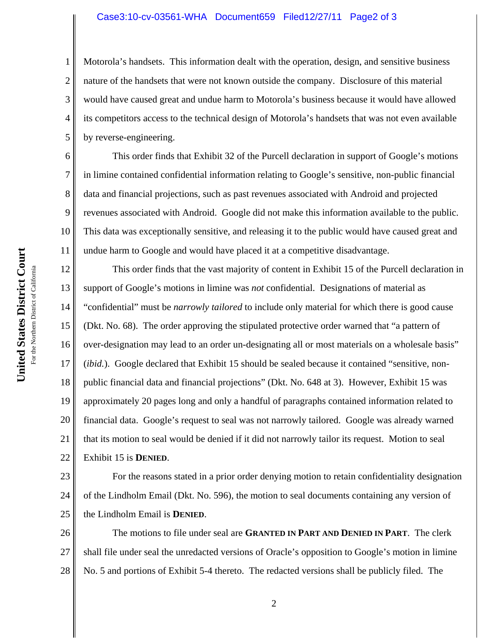## Case3:10-cv-03561-WHA Document659 Filed12/27/11 Page2 of 3

Motorola's handsets. This information dealt with the operation, design, and sensitive business nature of the handsets that were not known outside the company. Disclosure of this material would have caused great and undue harm to Motorola's business because it would have allowed its competitors access to the technical design of Motorola's handsets that was not even available by reverse-engineering.

This order finds that Exhibit 32 of the Purcell declaration in support of Google's motions in limine contained confidential information relating to Google's sensitive, non-public financial data and financial projections, such as past revenues associated with Android and projected revenues associated with Android. Google did not make this information available to the public. This data was exceptionally sensitive, and releasing it to the public would have caused great and undue harm to Google and would have placed it at a competitive disadvantage.

12 13 14 15 16 17 18 19 20 21 22 This order finds that the vast majority of content in Exhibit 15 of the Purcell declaration in support of Google's motions in limine was *not* confidential. Designations of material as "confidential" must be *narrowly tailored* to include only material for which there is good cause (Dkt. No. 68). The order approving the stipulated protective order warned that "a pattern of over-designation may lead to an order un-designating all or most materials on a wholesale basis" (*ibid.*). Google declared that Exhibit 15 should be sealed because it contained "sensitive, nonpublic financial data and financial projections" (Dkt. No. 648 at 3). However, Exhibit 15 was approximately 20 pages long and only a handful of paragraphs contained information related to financial data. Google's request to seal was not narrowly tailored. Google was already warned that its motion to seal would be denied if it did not narrowly tailor its request. Motion to seal Exhibit 15 is **DENIED**.

23 24 25 For the reasons stated in a prior order denying motion to retain confidentiality designation of the Lindholm Email (Dkt. No. 596), the motion to seal documents containing any version of the Lindholm Email is **DENIED**.

26 27 28 The motions to file under seal are **GRANTED IN PART AND DENIED IN PART**. The clerk shall file under seal the unredacted versions of Oracle's opposition to Google's motion in limine No. 5 and portions of Exhibit 5-4 thereto. The redacted versions shall be publicly filed. The

1

2

3

4

5

6

7

8

9

10

11

2